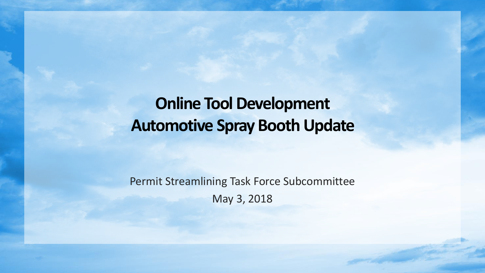**Online Tool Development Automotive Spray Booth Update**

Permit Streamlining Task Force Subcommittee May 3, 2018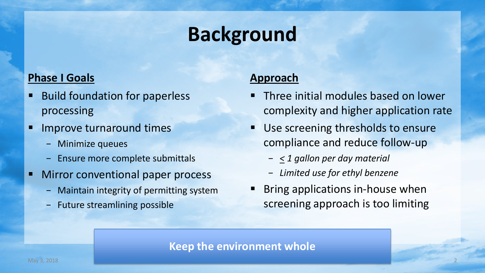# **Background**

### **Phase I Goals**

- **Build foundation for paperless** processing
- **IMPROVE turnaround times** 
	- − Minimize queues
	- Ensure more complete submittals
- **Nirror conventional paper process** 
	- − Maintain integrity of permitting system
	- − Future streamlining possible

#### **Approach**

- **Three initial modules based on lower** complexity and higher application rate
- **Use screening thresholds to ensure** compliance and reduce follow-up
	- − *< 1 gallon per day material*
	- − *Limited use for ethyl benzene*
- Bring applications in-house when screening approach is too limiting

#### **Keep the environment whole**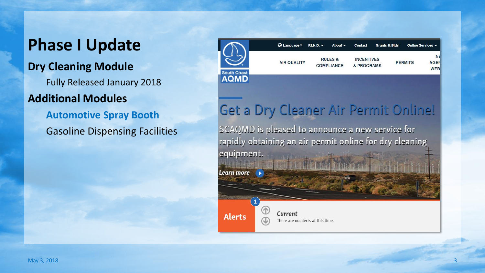# **Phase I Update**

### **Dry Cleaning Module**

Fully Released January 2018

### **Additional Modules**

**Automotive Spray Booth** Gasoline Dispensing Facilities



## Get a Dry Cleaner Air Permit Online!

SCAQMD is pleased to announce a new service for rapidly obtaining an air permit online for dry cleaning equipment.

Learn more

**Alerts** 

Current There are no alerts at this time.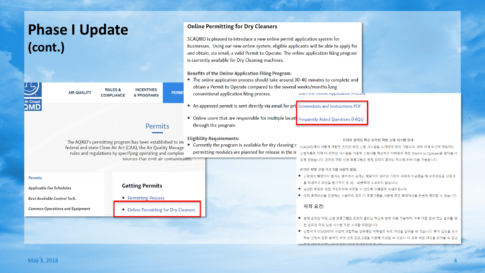| <b>Phase I Update</b>                                                                                                                                                                   |                                      | <b>Online Permitting for Dry Cleaners</b>                                                                                  |
|-----------------------------------------------------------------------------------------------------------------------------------------------------------------------------------------|--------------------------------------|----------------------------------------------------------------------------------------------------------------------------|
|                                                                                                                                                                                         |                                      | SCAQMD is pleased to introduce a new online permit application system for                                                  |
| (cont.)                                                                                                                                                                                 |                                      | businesses. Using our new online system, eligible applicants will be able to apply for                                     |
|                                                                                                                                                                                         |                                      | and obtain, via email, a valid Permit to Operate. The online application filing program                                    |
|                                                                                                                                                                                         |                                      | is currently available for Dry Cleaning machines.                                                                          |
|                                                                                                                                                                                         |                                      |                                                                                                                            |
|                                                                                                                                                                                         |                                      | Benefits of the Online Application Filing Program:                                                                         |
|                                                                                                                                                                                         |                                      | • The online application process should take around 30-40 minutes to complete and                                          |
| <b>RULES &amp;</b><br><b>AIR QUALITY</b>                                                                                                                                                | <b>INCENTIVES</b><br><b>PERMI</b>    | obtain a Permit to Operate compared to the several weeks/months long                                                       |
| <b>COMPLIANCE</b><br>& PROGRAMS                                                                                                                                                         |                                      | conventional application filing process.<br>plant the Unune Application Process                                            |
|                                                                                                                                                                                         |                                      | • An approved permit is sent directly via email for pri <b>s</b> Screenshots and Instructions PDF                          |
|                                                                                                                                                                                         |                                      |                                                                                                                            |
|                                                                                                                                                                                         |                                      | • Online users that are responsible for multiple locati Frequently Asked Questions (FAQs)                                  |
|                                                                                                                                                                                         | Permits                              | through the program.                                                                                                       |
|                                                                                                                                                                                         |                                      |                                                                                                                            |
| The AQMD's permitting program has been established to im<br>federal and state Clean Air Act (CAA), the Air Quality Manage<br>rules and regulations by specifying operating and compliar |                                      | <b>Eligibility Requirements:</b><br>드라이 클리닝 머신 온라인 퍼밋 신청 시스템 안내<br>• Currently the program is available for dry cleaning n |
|                                                                                                                                                                                         |                                      | SCAQMD에서 새롭게 개발한 온라인 퍼밋 신청 시스템을 소개하게 되어 기쁩니다. 아래 자격 요건에 해당하는<br>permitting modules are planned for release in the ne       |
|                                                                                                                                                                                         | sources that emit air contaminants.  | 신청자들은 이제 이 온라인 시스템을 이용해 신청서를 작성하고 이메일로 퍼밋 (Permit to Operate)을 받아볼 수                                                       |
|                                                                                                                                                                                         |                                      | 있게 되었습니다. 온라인 퍼밋 신청 프로그램은 현재 드라이 클리닝 머신에 한해 이용 가능합니다.                                                                      |
|                                                                                                                                                                                         |                                      | 온라인 퍼밋 신청 프로그램 사용의 장점:                                                                                                     |
| <b>Permits</b>                                                                                                                                                                          |                                      | 신청에서 발행까지 짧게는 몇주에서 길게는 몇달까지 걸리던 기존의 과정과 비교했을 때 온라인으로 신청서                                                                   |
| <b>Applicable Fee Schedules</b>                                                                                                                                                         | <b>Getting Permits</b>               | 를 작성하고 퍼밋을 받기까지 약 30 - 40분밖에 소요되지 않습니다.                                                                                    |
|                                                                                                                                                                                         |                                      | ● 승인된 퍼밋은 직접 프린트하여 보관할 수 있도록 이메일로 보내드립니다.<br>● 여러 로케이션을 운영하는 사용자의 경우 이 프로그램을 사용해 모든 로케이션을 한번에 관리할 수 있습니다.                  |
| <b>Best Available Control Tech.</b>                                                                                                                                                     | • Permitting Process                 |                                                                                                                            |
| <b>Common Operations and Equipment</b>                                                                                                                                                  | • Online Permitting for Dry Cleaners | 자격 요건:                                                                                                                     |
|                                                                                                                                                                                         |                                      |                                                                                                                            |
|                                                                                                                                                                                         |                                      | 현재 온라인 퍼밋 신청 프로그램은 드라이 클리닝 머신에 한해 이용 가능하며, 추후 다른 장비 또는 설비를 위<br>한 온라인 퍼밋 신청 시스템 또한 소개할 예정입니다.                              |
|                                                                                                                                                                                         |                                      | ● 신청서가 SCAQMD의 규정에 부합하는 경우에만 이메일로 바로 퍼밋을 받아볼 수 있습니다. 추가 검토를 요구                                                             |
|                                                                                                                                                                                         |                                      | 하는 신청서 또한 온라인 퍼밋 신청 프로그램을 이용해 작성할 수 있으나 이 경우 바로 퍼밋을 받아볼 수 없고                                                               |
|                                                                                                                                                                                         |                                      |                                                                                                                            |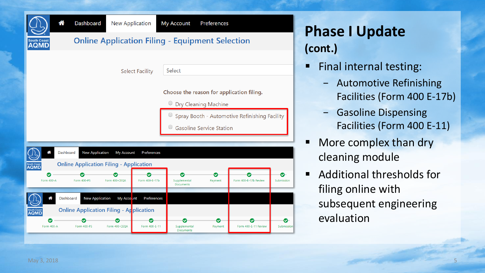

**Phase I Update (cont.)**

- **Final internal testing:** 
	- − Automotive Refinishing Facilities (Form 400 E -17b)
	- − Gasoline Dispensing Facilities (Form 400 E -11)
- More complex than dry cleaning module
- Additional thresholds for filing online with subsequent engineering evaluation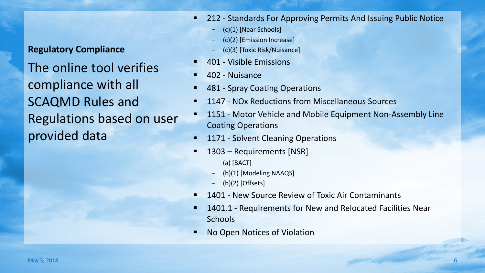**Regulatory Compliance** The online tool verifies compliance with all SCAQMD Rules and Regulations based on user provided data

- 212 Standards For Approving Permits And Issuing Public Notice
	- − (c)(1) [Near Schools]
	- − (c)(2) [Emission Increase]
	- − (c)(3) [Toxic Risk/Nuisance]
- 401 Visible Emissions
- 402 Nuisance
- 481 Spray Coating Operations
- 1147 NOx Reductions from Miscellaneous Sources
- 1151 Motor Vehicle and Mobile Equipment Non-Assembly Line Coating Operations
- 1171 Solvent Cleaning Operations
- 1303 Requirements [NSR]
	- − (a) [BACT]
	- − (b)(1) [Modeling NAAQS]
	- − (b)(2) [Offsets]
- 1401 New Source Review of Toxic Air Contaminants
- 1401.1 Requirements for New and Relocated Facilities Near **Schools**
- No Open Notices of Violation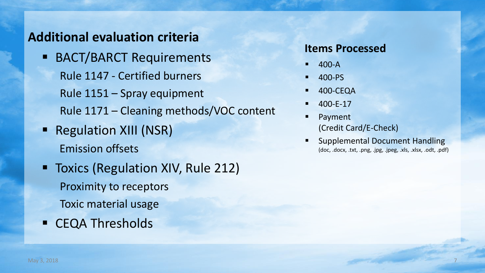## **Additional evaluation criteria**

- **BACT/BARCT Requirements** Rule 1147 - Certified burners Rule 1151 – Spray equipment Rule 1171 – Cleaning methods/VOC content
- **Regulation XIII (NSR)** Emission offsets
- **Toxics (Regulation XIV, Rule 212)** Proximity to receptors Toxic material usage
- **EXA Thresholds**

#### **Items Processed**

- $-400-A$
- 400-PS
- 400-CEQA
- 400-E-17
- Payment (Credit Card/E-Check)
- Supplemental Document Handling (doc, .docx, .txt, .png, .jpg, .jpeg, .xls, .xlsx, .odt, .pdf)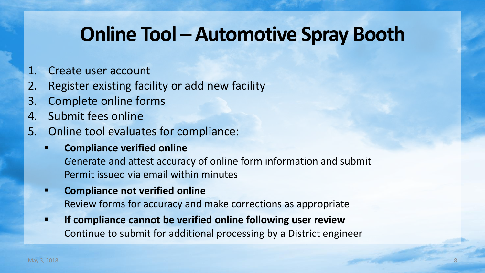# **Online Tool – Automotive Spray Booth**

- 1. Create user account
- 2. Register existing facility or add new facility
- 3. Complete online forms
- 4. Submit fees online
- 5. Online tool evaluates for compliance:
	- **Compliance verified online**

*G*enerate and attest accuracy of online form information and submit Permit issued via email within minutes

- **E** Compliance not verified online Review forms for accuracy and make corrections as appropriate
- **If compliance cannot be verified online following user review** Continue to submit for additional processing by a District engineer